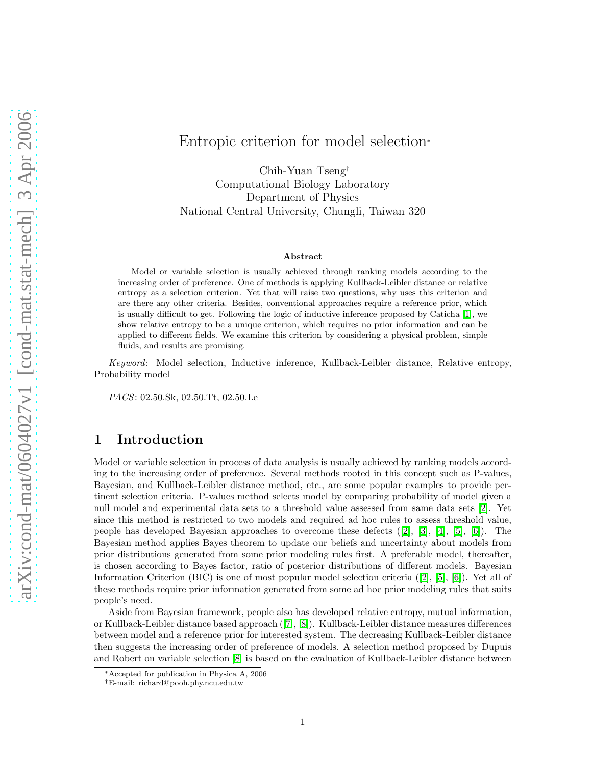Chih-Yuan Tseng† Computational Biology Laboratory Department of Physics National Central University, Chungli, Taiwan 320

#### Abstract

Model or variable selection is usually achieved through ranking models according to the increasing order of preference. One of methods is applying Kullback-Leibler distance or relative entropy as a selection criterion. Yet that will raise two questions, why uses this criterion and are there any other criteria. Besides, conventional approaches require a reference prior, which is usually difficult to get. Following the logic of inductive inference proposed by Caticha [\[1\]](#page-8-0), we show relative entropy to be a unique criterion, which requires no prior information and can be applied to different fields. We examine this criterion by considering a physical problem, simple fluids, and results are promising.

Keyword: Model selection, Inductive inference, Kullback-Leibler distance, Relative entropy, Probability model

PACS: 02.50.Sk, 02.50.Tt, 02.50.Le

### 1 Introduction

Model or variable selection in process of data analysis is usually achieved by ranking models according to the increasing order of preference. Several methods rooted in this concept such as P-values, Bayesian, and Kullback-Leibler distance method, etc., are some popular examples to provide pertinent selection criteria. P-values method selects model by comparing probability of model given a null model and experimental data sets to a threshold value assessed from same data sets [\[2\]](#page-8-1). Yet since this method is restricted to two models and required ad hoc rules to assess threshold value, people has developed Bayesian approaches to overcome these defects ([\[2\]](#page-8-1), [\[3\]](#page-8-2), [\[4\]](#page-8-3), [\[5\]](#page-8-4), [\[6\]](#page-8-5)). The Bayesian method applies Bayes theorem to update our beliefs and uncertainty about models from prior distributions generated from some prior modeling rules first. A preferable model, thereafter, is chosen according to Bayes factor, ratio of posterior distributions of different models. Bayesian Information Criterion (BIC) is one of most popular model selection criteria ([\[2\]](#page-8-1), [\[5\]](#page-8-4), [\[6\]](#page-8-5)). Yet all of these methods require prior information generated from some ad hoc prior modeling rules that suits people's need.

Aside from Bayesian framework, people also has developed relative entropy, mutual information, or Kullback-Leibler distance based approach ([\[7\]](#page-8-6), [\[8\]](#page-8-7)). Kullback-Leibler distance measures differences between model and a reference prior for interested system. The decreasing Kullback-Leibler distance then suggests the increasing order of preference of models. A selection method proposed by Dupuis and Robert on variable selection [\[8\]](#page-8-7) is based on the evaluation of Kullback-Leibler distance between

<sup>∗</sup>Accepted for publication in Physica A, 2006

<sup>†</sup>E-mail: richard@pooh.phy.ncu.edu.tw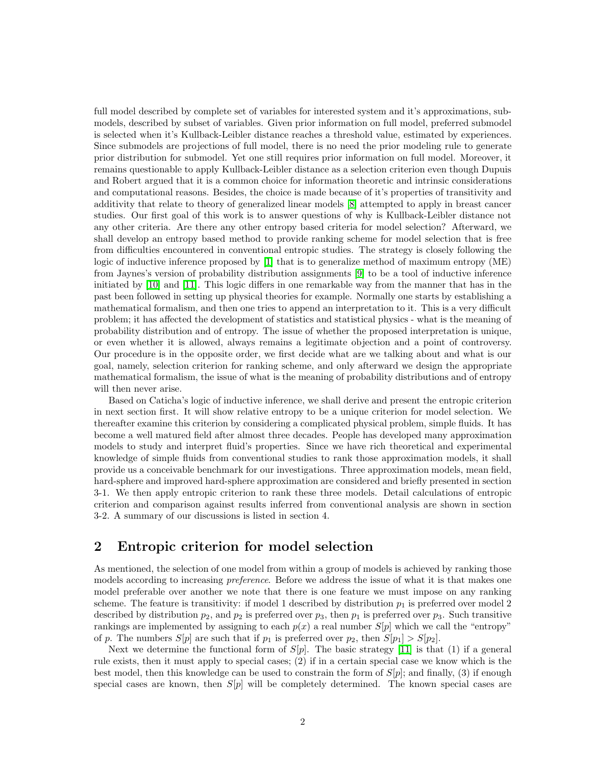full model described by complete set of variables for interested system and it's approximations, submodels, described by subset of variables. Given prior information on full model, preferred submodel is selected when it's Kullback-Leibler distance reaches a threshold value, estimated by experiences. Since submodels are projections of full model, there is no need the prior modeling rule to generate prior distribution for submodel. Yet one still requires prior information on full model. Moreover, it remains questionable to apply Kullback-Leibler distance as a selection criterion even though Dupuis and Robert argued that it is a common choice for information theoretic and intrinsic considerations and computational reasons. Besides, the choice is made because of it's properties of transitivity and additivity that relate to theory of generalized linear models [\[8\]](#page-8-7) attempted to apply in breast cancer studies. Our first goal of this work is to answer questions of why is Kullback-Leibler distance not any other criteria. Are there any other entropy based criteria for model selection? Afterward, we shall develop an entropy based method to provide ranking scheme for model selection that is free from difficulties encountered in conventional entropic studies. The strategy is closely following the logic of inductive inference proposed by [\[1\]](#page-8-0) that is to generalize method of maximum entropy (ME) from Jaynes's version of probability distribution assignments [\[9\]](#page-8-8) to be a tool of inductive inference initiated by [\[10\]](#page-8-9) and [\[11\]](#page-8-10). This logic differs in one remarkable way from the manner that has in the past been followed in setting up physical theories for example. Normally one starts by establishing a mathematical formalism, and then one tries to append an interpretation to it. This is a very difficult problem; it has affected the development of statistics and statistical physics - what is the meaning of probability distribution and of entropy. The issue of whether the proposed interpretation is unique, or even whether it is allowed, always remains a legitimate objection and a point of controversy. Our procedure is in the opposite order, we first decide what are we talking about and what is our goal, namely, selection criterion for ranking scheme, and only afterward we design the appropriate mathematical formalism, the issue of what is the meaning of probability distributions and of entropy will then never arise.

Based on Caticha's logic of inductive inference, we shall derive and present the entropic criterion in next section first. It will show relative entropy to be a unique criterion for model selection. We thereafter examine this criterion by considering a complicated physical problem, simple fluids. It has become a well matured field after almost three decades. People has developed many approximation models to study and interpret fluid's properties. Since we have rich theoretical and experimental knowledge of simple fluids from conventional studies to rank those approximation models, it shall provide us a conceivable benchmark for our investigations. Three approximation models, mean field, hard-sphere and improved hard-sphere approximation are considered and briefly presented in section 3-1. We then apply entropic criterion to rank these three models. Detail calculations of entropic criterion and comparison against results inferred from conventional analysis are shown in section 3-2. A summary of our discussions is listed in section 4.

# 2 Entropic criterion for model selection

As mentioned, the selection of one model from within a group of models is achieved by ranking those models according to increasing *preference*. Before we address the issue of what it is that makes one model preferable over another we note that there is one feature we must impose on any ranking scheme. The feature is transitivity: if model 1 described by distribution  $p_1$  is preferred over model 2 described by distribution  $p_2$ , and  $p_2$  is preferred over  $p_3$ , then  $p_1$  is preferred over  $p_3$ . Such transitive rankings are implemented by assigning to each  $p(x)$  a real number  $S[p]$  which we call the "entropy" of p. The numbers  $S[p]$  are such that if  $p_1$  is preferred over  $p_2$ , then  $S[p_1] > S[p_2]$ .

Next we determine the functional form of  $S[p]$ . The basic strategy [\[11\]](#page-8-10) is that (1) if a general rule exists, then it must apply to special cases; (2) if in a certain special case we know which is the best model, then this knowledge can be used to constrain the form of  $S[p]$ ; and finally, (3) if enough special cases are known, then  $S[p]$  will be completely determined. The known special cases are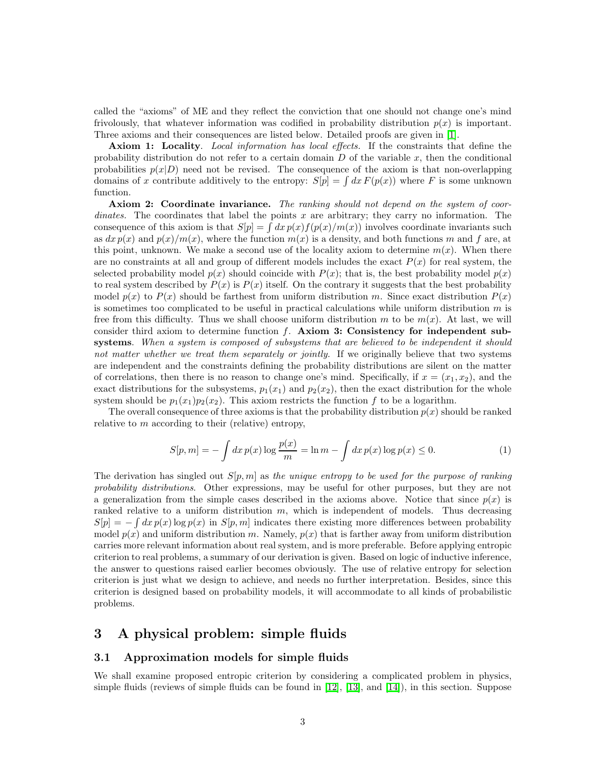called the "axioms" of ME and they reflect the conviction that one should not change one's mind frivolously, that whatever information was codified in probability distribution  $p(x)$  is important. Three axioms and their consequences are listed below. Detailed proofs are given in [\[1\]](#page-8-0).

Axiom 1: Locality. Local information has local effects. If the constraints that define the probability distribution do not refer to a certain domain  $D$  of the variable  $x$ , then the conditional probabilities  $p(x|D)$  need not be revised. The consequence of the axiom is that non-overlapping domains of x contribute additively to the entropy:  $S[p] = \int dx F(p(x))$  where F is some unknown function.

Axiom 2: Coordinate invariance. The ranking should not depend on the system of coordinates. The coordinates that label the points x are arbitrary; they carry no information. The consequence of this axiom is that  $S[p] = \int dx p(x) f(p(x)/m(x))$  involves coordinate invariants such as  $dx p(x)$  and  $p(x)/m(x)$ , where the function  $m(x)$  is a density, and both functions m and f are, at this point, unknown. We make a second use of the locality axiom to determine  $m(x)$ . When there are no constraints at all and group of different models includes the exact  $P(x)$  for real system, the selected probability model  $p(x)$  should coincide with  $P(x)$ ; that is, the best probability model  $p(x)$ to real system described by  $P(x)$  is  $P(x)$  itself. On the contrary it suggests that the best probability model  $p(x)$  to  $P(x)$  should be farthest from uniform distribution m. Since exact distribution  $P(x)$ is sometimes too complicated to be useful in practical calculations while uniform distribution  $m$  is free from this difficulty. Thus we shall choose uniform distribution m to be  $m(x)$ . At last, we will consider third axiom to determine function  $f$ . Axiom 3: Consistency for independent subsystems. When a system is composed of subsystems that are believed to be independent it should not matter whether we treat them separately or jointly. If we originally believe that two systems are independent and the constraints defining the probability distributions are silent on the matter of correlations, then there is no reason to change one's mind. Specifically, if  $x = (x_1, x_2)$ , and the exact distributions for the subsystems,  $p_1(x_1)$  and  $p_2(x_2)$ , then the exact distribution for the whole system should be  $p_1(x_1)p_2(x_2)$ . This axiom restricts the function f to be a logarithm.

The overall consequence of three axioms is that the probability distribution  $p(x)$  should be ranked relative to  $m$  according to their (relative) entropy,

$$
S[p, m] = -\int dx \, p(x) \log \frac{p(x)}{m} = \ln m - \int dx \, p(x) \log p(x) \le 0. \tag{1}
$$

The derivation has singled out  $S[p, m]$  as the unique entropy to be used for the purpose of ranking probability distributions. Other expressions, may be useful for other purposes, but they are not a generalization from the simple cases described in the axioms above. Notice that since  $p(x)$  is ranked relative to a uniform distribution m, which is independent of models. Thus decreasing  $S[p] = -\int dx p(x) \log p(x)$  in  $S[p, m]$  indicates there existing more differences between probability model  $p(x)$  and uniform distribution m. Namely,  $p(x)$  that is farther away from uniform distribution carries more relevant information about real system, and is more preferable. Before applying entropic criterion to real problems, a summary of our derivation is given. Based on logic of inductive inference, the answer to questions raised earlier becomes obviously. The use of relative entropy for selection criterion is just what we design to achieve, and needs no further interpretation. Besides, since this criterion is designed based on probability models, it will accommodate to all kinds of probabilistic problems.

# 3 A physical problem: simple fluids

### 3.1 Approximation models for simple fluids

We shall examine proposed entropic criterion by considering a complicated problem in physics, simple fluids (reviews of simple fluids can be found in [\[12\]](#page-8-11), [\[13\]](#page-8-12), and [\[14\]](#page-8-13)), in this section. Suppose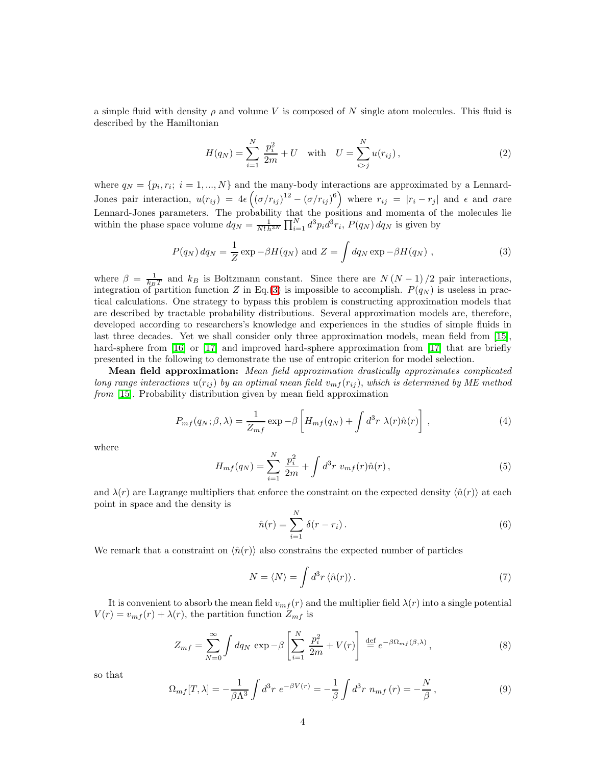a simple fluid with density  $\rho$  and volume V is composed of N single atom molecules. This fluid is described by the Hamiltonian

<span id="page-3-0"></span>
$$
H(q_N) = \sum_{i=1}^{N} \frac{p_i^2}{2m} + U \quad \text{with} \quad U = \sum_{i>j}^{N} u(r_{ij}), \tag{2}
$$

where  $q_N = \{p_i, r_i; i = 1, ..., N\}$  and the many-body interactions are approximated by a Lennard-Jones pair interaction,  $u(r_{ij}) = 4\epsilon \left( (\sigma/r_{ij})^{12} - (\sigma/r_{ij})^6 \right)$  where  $r_{ij} = |r_i - r_j|$  and  $\epsilon$  and  $\sigma$  are Lennard-Jones parameters. The probability that the positions and momenta of the molecules lie within the phase space volume  $dq_N = \frac{1}{N! h^{3N}} \prod_{i=1}^N d^3 p_i \overline{d}^3 r_i$ ,  $P(q_N) dq_N$  is given by

$$
P(q_N) \, dq_N = \frac{1}{Z} \exp \left(-\beta H(q_N) \text{ and } Z = \int dq_N \exp \left(-\beta H(q_N) \right) \right),\tag{3}
$$

where  $\beta = \frac{1}{k_B T}$  and  $k_B$  is Boltzmann constant. Since there are  $N (N-1)/2$  pair interactions, integration of partition function Z in Eq.[\(3\)](#page-3-0) is impossible to accomplish.  $P(q_N)$  is useless in practical calculations. One strategy to bypass this problem is constructing approximation models that are described by tractable probability distributions. Several approximation models are, therefore, developed according to researchers's knowledge and experiences in the studies of simple fluids in last three decades. Yet we shall consider only three approximation models, mean field from [\[15\]](#page-8-14), hard-sphere from [\[16\]](#page-8-15) or [\[17\]](#page-9-0) and improved hard-sphere approximation from [17] that are briefly presented in the following to demonstrate the use of entropic criterion for model selection.

Mean field approximation: Mean field approximation drastically approximates complicated long range interactions  $u(r_{ij})$  by an optimal mean field  $v_{mf}(r_{ij})$ , which is determined by ME method from [\[15\]](#page-8-14). Probability distribution given by mean field approximation

$$
P_{mf}(q_N; \beta, \lambda) = \frac{1}{Z_{mf}} \exp \left[ H_{mf}(q_N) + \int d^3r \ \lambda(r) \hat{n}(r) \right], \tag{4}
$$

where

<span id="page-3-1"></span>
$$
H_{mf}(q_N) = \sum_{i=1}^{N} \frac{p_i^2}{2m} + \int d^3r \ v_{mf}(r)\hat{n}(r) , \qquad (5)
$$

and  $\lambda(r)$  are Lagrange multipliers that enforce the constraint on the expected density  $\langle \hat{n}(r) \rangle$  at each point in space and the density is

$$
\hat{n}(r) = \sum_{i=1}^{N} \delta(r - r_i). \tag{6}
$$

We remark that a constraint on  $\langle \hat{n}(r) \rangle$  also constrains the expected number of particles

<span id="page-3-2"></span>
$$
N = \langle N \rangle = \int d^3r \langle \hat{n}(r) \rangle \,. \tag{7}
$$

It is convenient to absorb the mean field  $v_{mf}(r)$  and the multiplier field  $\lambda(r)$  into a single potential  $V(r) = v_{mf}(r) + \lambda(r)$ , the partition function  $Z_{mf}$  is

$$
Z_{mf} = \sum_{N=0}^{\infty} \int dq_N \, \exp \, -\beta \left[ \sum_{i=1}^{N} \, \frac{p_i^2}{2m} + V(r) \right] \, \stackrel{\text{def}}{=} e^{-\beta \Omega_{mf}(\beta,\lambda)},\tag{8}
$$

<span id="page-3-3"></span>so that

$$
\Omega_{mf}[T,\lambda] = -\frac{1}{\beta \Lambda^3} \int d^3r \ e^{-\beta V(r)} = -\frac{1}{\beta} \int d^3r \ n_{mf}(r) = -\frac{N}{\beta},\tag{9}
$$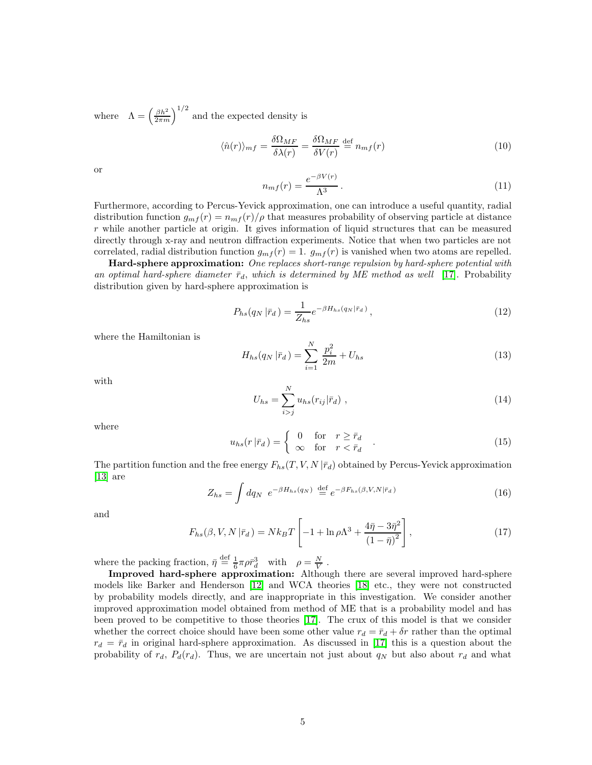where  $\Lambda = \left(\frac{\beta h^2}{2\pi m}\right)^{1/2}$  and the expected density is

<span id="page-4-0"></span>
$$
\langle \hat{n}(r) \rangle_{mf} = \frac{\delta \Omega_{MF}}{\delta \lambda(r)} = \frac{\delta \Omega_{MF}}{\delta V(r)} \stackrel{\text{def}}{=} n_{mf}(r) \tag{10}
$$

or

$$
n_{mf}(r) = \frac{e^{-\beta V(r)}}{\Lambda^3}.
$$
\n(11)

Furthermore, according to Percus-Yevick approximation, one can introduce a useful quantity, radial distribution function  $g_{mf}(r) = n_{mf}(r)/\rho$  that measures probability of observing particle at distance r while another particle at origin. It gives information of liquid structures that can be measured directly through x-ray and neutron diffraction experiments. Notice that when two particles are not correlated, radial distribution function  $g_{mf}(r) = 1$ .  $g_{mf}(r)$  is vanished when two atoms are repelled.

Hard-sphere approximation: One replaces short-range repulsion by hard-sphere potential with an optimal hard-sphere diameter  $\bar{r}_d$ , which is determined by ME method as well [\[17\]](#page-9-0). Probability distribution given by hard-sphere approximation is

<span id="page-4-2"></span>
$$
P_{hs}(q_N|\bar{r}_d) = \frac{1}{Z_{hs}} e^{-\beta H_{hs}(q_N|\bar{r}_d)},\tag{12}
$$

where the Hamiltonian is

$$
H_{hs}(q_N|\bar{r}_d) = \sum_{i=1}^{N} \frac{p_i^2}{2m} + U_{hs}
$$
\n(13)

with

$$
U_{hs} = \sum_{i>j}^{N} u_{hs}(r_{ij}|\bar{r}_d) , \qquad (14)
$$

where

$$
u_{hs}(r|\bar{r}_d) = \begin{cases} 0 & \text{for } r \ge \bar{r}_d \\ \infty & \text{for } r < \bar{r}_d \end{cases} . \tag{15}
$$

The partition function and the free energy  $F_{hs}(T, V, N | \bar{r}_d)$  obtained by Percus-Yevick approximation [\[13\]](#page-8-12) are

$$
Z_{hs} = \int dq_N \ e^{-\beta H_{hs}(q_N)} \stackrel{\text{def}}{=} e^{-\beta F_{hs}(\beta, V, N|\bar{r}_d)} \tag{16}
$$

<span id="page-4-1"></span>and

$$
F_{hs}(\beta, V, N | \bar{r}_d) = N k_B T \left[ -1 + \ln \rho \Lambda^3 + \frac{4 \bar{\eta} - 3 \bar{\eta}^2}{\left(1 - \bar{\eta}\right)^2} \right],\tag{17}
$$

where the packing fraction,  $\bar{\eta} \stackrel{\text{def}}{=} \frac{1}{6} \pi \rho \bar{r}_d^3$  with  $\rho = \frac{N}{V}$ .

Improved hard-sphere approximation: Although there are several improved hard-sphere models like Barker and Henderson [\[12\]](#page-8-11) and WCA theories [\[18\]](#page-9-1) etc., they were not constructed by probability models directly, and are inappropriate in this investigation. We consider another improved approximation model obtained from method of ME that is a probability model and has been proved to be competitive to those theories [\[17\]](#page-9-0). The crux of this model is that we consider whether the correct choice should have been some other value  $r_d = \bar{r}_d + \delta r$  rather than the optimal  $r_d = \bar{r}_d$  in original hard-sphere approximation. As discussed in [\[17\]](#page-9-0) this is a question about the probability of  $r_d$ ,  $P_d(r_d)$ . Thus, we are uncertain not just about  $q_N$  but also about  $r_d$  and what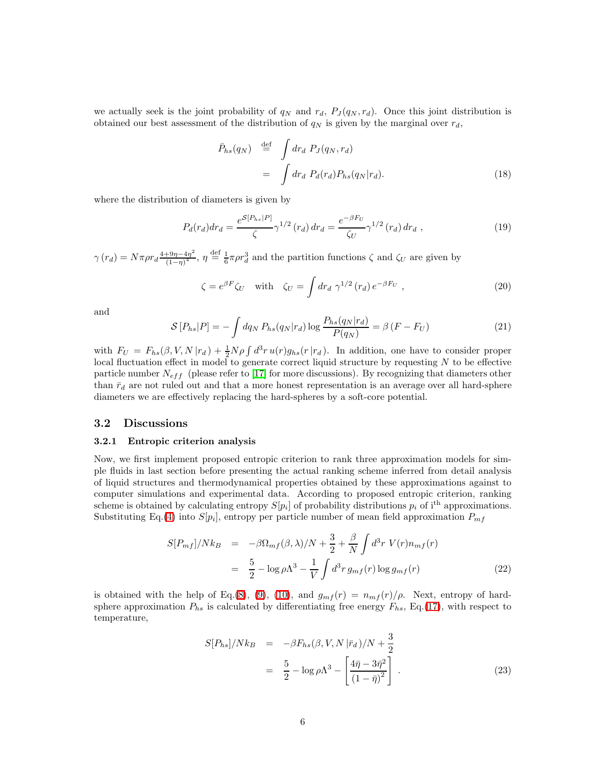<span id="page-5-2"></span>we actually seek is the joint probability of  $q_N$  and  $r_d$ ,  $P_J(q_N, r_d)$ . Once this joint distribution is obtained our best assessment of the distribution of  $q_N$  is given by the marginal over  $r_d$ ,

<span id="page-5-1"></span>
$$
\bar{P}_{hs}(q_N) \stackrel{\text{def}}{=} \int dr_d P_J(q_N, r_d)
$$
\n
$$
= \int dr_d P_d(r_d) P_{hs}(q_N | r_d). \tag{18}
$$

where the distribution of diameters is given by

$$
P_d(r_d)dr_d = \frac{e^{\mathcal{S}[P_{hs}|P]}}{\zeta} \gamma^{1/2} (r_d) dr_d = \frac{e^{-\beta F_U}}{\zeta_U} \gamma^{1/2} (r_d) dr_d , \qquad (19)
$$

 $\gamma(r_d) = N \pi \rho r_d \frac{4 + 9\eta - 4\eta^2}{(1 - r)^4}$  $\frac{1}{(1-\eta)^4}$ ,  $\eta \stackrel{\text{def}}{=} \frac{1}{6}\pi \rho r_d^3$  and the partition functions  $\zeta$  and  $\zeta_U$  are given by

$$
\zeta = e^{\beta F} \zeta_U \quad \text{with} \quad \zeta_U = \int dr_d \; \gamma^{1/2} \left( r_d \right) e^{-\beta F_U} \;, \tag{20}
$$

and

$$
S[P_{hs}|P] = -\int dq_N P_{hs}(q_N|r_d) \log \frac{P_{hs}(q_N|r_d)}{P(q_N)} = \beta (F - F_U)
$$
\n(21)

with  $F_U = F_{hs}(\beta, V, N | r_d) + \frac{1}{2}N\rho \int d^3r u(r)g_{hs}(r|r_d)$ . In addition, one have to consider proper local fluctuation effect in model to generate correct liquid structure by requesting  $N$  to be effective particle number  $N_{eff}$  (please refer to [\[17\]](#page-9-0) for more discussions). By recognizing that diameters other than  $\bar{r}_d$  are not ruled out and that a more honest representation is an average over all hard-sphere diameters we are effectively replacing the hard-spheres by a soft-core potential.

### 3.2 Discussions

#### 3.2.1 Entropic criterion analysis

Now, we first implement proposed entropic criterion to rank three approximation models for simple fluids in last section before presenting the actual ranking scheme inferred from detail analysis of liquid structures and thermodynamical properties obtained by these approximations against to computer simulations and experimental data. According to proposed entropic criterion, ranking scheme is obtained by calculating entropy  $S[p_i]$  of probability distributions  $p_i$  of i<sup>th</sup> approximations. Substituting Eq.[\(4\)](#page-3-1) into  $S[p_i]$ , entropy per particle number of mean field approximation  $P_{mf}$ 

$$
S[P_{mf}]/Nk_B = -\beta \Omega_{mf}(\beta, \lambda)/N + \frac{3}{2} + \frac{\beta}{N} \int d^3r \ V(r) n_{mf}(r)
$$

$$
= \frac{5}{2} - \log \rho \Lambda^3 - \frac{1}{V} \int d^3r \ g_{mf}(r) \log g_{mf}(r) \tag{22}
$$

<span id="page-5-3"></span><span id="page-5-0"></span>is obtained with the help of Eq.[\(8\)](#page-3-2), [\(9\)](#page-3-3), [\(10\)](#page-4-0), and  $g_{mf}(r) = n_{mf}(r)/\rho$ . Next, entropy of hardsphere approximation  $P_{hs}$  is calculated by differentiating free energy  $F_{hs}$ , Eq.[\(17\)](#page-4-1), with respect to temperature,

$$
S[P_{hs}]/Nk_B = -\beta F_{hs}(\beta, V, N|\bar{r}_d)/N + \frac{3}{2}
$$
  
=  $\frac{5}{2} - \log \rho \Lambda^3 - \left[\frac{4\bar{\eta} - 3\bar{\eta}^2}{(1 - \bar{\eta})^2}\right]$ . (23)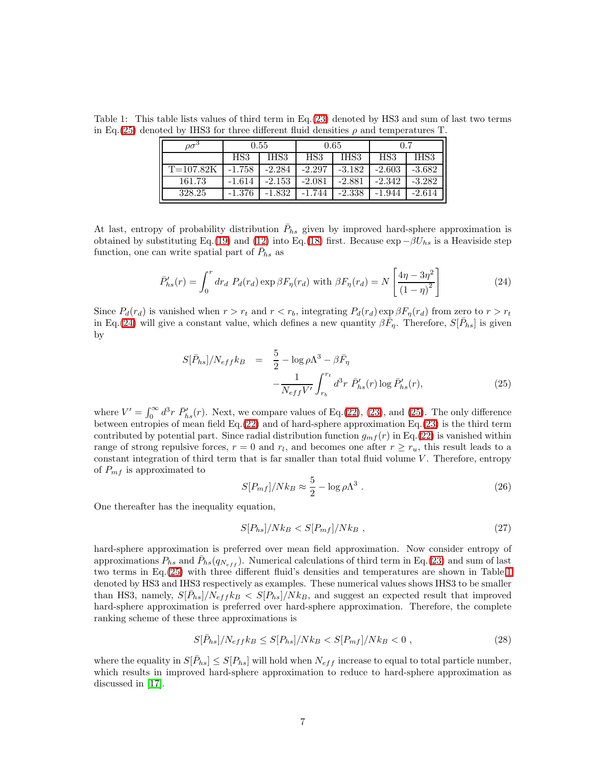<span id="page-6-2"></span>Table 1: This table lists values of third term in Eq.[\(23\)](#page-5-0) denoted by HS3 and sum of last two terms in Eq.[\(25\)](#page-6-0) denoted by IHS3 for three different fluid densities  $\rho$  and temperatures T.

| $\varrho\sigma^{\rm o}$ | 0.55     |          | 0.65     |          | 0.7      |          |
|-------------------------|----------|----------|----------|----------|----------|----------|
|                         | HS3      | IHS3     | HS3      | IHS3     | HS3      | IHS3     |
| $T = 107.82K$           | $-1.758$ | $-2.284$ | $-2.297$ | $-3.182$ | $-2.603$ | $-3.682$ |
| 161.73                  | $-1.614$ | $-2.153$ | $-2.081$ | $-2.881$ | $-2.342$ | $-3.282$ |
| 328.25                  | $-1.376$ | -1.832   | -1.744   | $-2.338$ | $-1.944$ | $-2.614$ |

At last, entropy of probability distribution  $\bar{P}_{hs}$  given by improved hard-sphere approximation is obtained by substituting Eq.[\(19\)](#page-5-1) and [\(12\)](#page-4-2) into Eq.[\(18\)](#page-5-2) first. Because  $\exp{-\beta U_{hs}}$  is a Heaviside step function, one can write spatial part of  $\bar{P}_{hs}$  as

<span id="page-6-1"></span>
$$
\bar{P}_{hs}'(r) = \int_0^r dr_d \ P_d(r_d) \exp \beta F_\eta(r_d) \text{ with } \beta F_\eta(r_d) = N \left[ \frac{4\eta - 3\eta^2}{\left(1 - \eta\right)^2} \right] \tag{24}
$$

<span id="page-6-0"></span>Since  $P_d(r_d)$  is vanished when  $r > r_t$  and  $r < r_b$ , integrating  $P_d(r_d) \exp \beta F_{\eta}(r_d)$  from zero to  $r > r_t$ in Eq.[\(24\)](#page-6-1) will give a constant value, which defines a new quantity  $\beta \bar{F}_{\eta}$ . Therefore,  $S[\bar{P}_{hs}]$  is given by

$$
S[\bar{P}_{hs}]/N_{eff}k_B = \frac{5}{2} - \log \rho \Lambda^3 - \beta \bar{F}_{\eta} -\frac{1}{N_{eff}V'} \int_{r_b}^{r_t} d^3r \ \bar{P}_{hs}'(r) \log \bar{P}_{hs}'(r), \tag{25}
$$

where  $V' = \int_0^\infty d^3r \ \bar{P}_{hs}'(r)$ . Next, we compare values of Eq.[\(22\)](#page-5-3), [\(23\)](#page-5-0), and [\(25\)](#page-6-0). The only difference between entropies of mean field Eq.[\(22\)](#page-5-3) and of hard-sphere approximation Eq.[\(23\)](#page-5-0) is the third term contributed by potential part. Since radial distribution function  $g_{mf}(r)$  in Eq.[\(22\)](#page-5-3) is vanished within range of strong repulsive forces,  $r = 0$  and  $r_l$ , and becomes one after  $r \ge r_u$ , this result leads to a constant integration of third term that is far smaller than total fluid volume V. Therefore, entropy of  $P_{mf}$  is approximated to

$$
S[P_{mf}]/Nk_B \approx \frac{5}{2} - \log \rho \Lambda^3 \ . \tag{26}
$$

One thereafter has the inequality equation,

$$
S[P_{hs}]/Nk_B < S[P_{mf}]/Nk_B \tag{27}
$$

hard-sphere approximation is preferred over mean field approximation. Now consider entropy of approximations  $P_{hs}$  and  $\bar{P}_{hs}(q_{N_{eff}})$ . Numerical calculations of third term in Eq.[\(23\)](#page-5-0) and sum of last two terms in Eq.[\(25\)](#page-6-0) with three different fluid's densities and temperatures are shown in Table[.1](#page-6-2) denoted by HS3 and IHS3 respectively as examples. These numerical values shows IHS3 to be smaller than HS3, namely,  $S[\bar{P}_{hs}]/N_{eff}k_B < S[P_{hs}]/N_{k_B}$ , and suggest an expected result that improved hard-sphere approximation is preferred over hard-sphere approximation. Therefore, the complete ranking scheme of these three approximations is

<span id="page-6-3"></span>
$$
S[\bar{P}_{hs}]/N_{eff}k_B \le S[P_{hs}]/Nk_B < S[P_{mf}]/Nk_B < 0 \,,\tag{28}
$$

where the equality in  $S[\bar{P}_{hs}] \leq S[P_{hs}]$  will hold when  $N_{eff}$  increase to equal to total particle number, which results in improved hard-sphere approximation to reduce to hard-sphere approximation as discussed in [\[17\]](#page-9-0).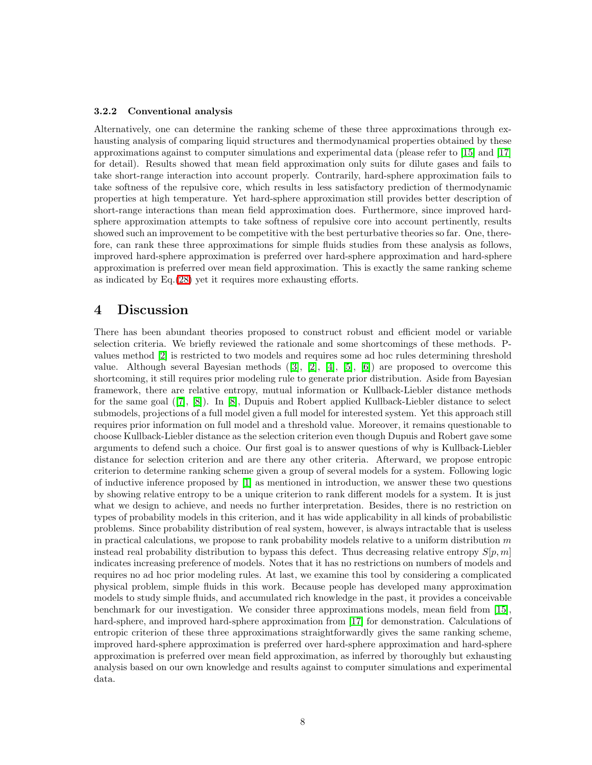#### 3.2.2 Conventional analysis

Alternatively, one can determine the ranking scheme of these three approximations through exhausting analysis of comparing liquid structures and thermodynamical properties obtained by these approximations against to computer simulations and experimental data (please refer to [\[15\]](#page-8-14) and [\[17\]](#page-9-0) for detail). Results showed that mean field approximation only suits for dilute gases and fails to take short-range interaction into account properly. Contrarily, hard-sphere approximation fails to take softness of the repulsive core, which results in less satisfactory prediction of thermodynamic properties at high temperature. Yet hard-sphere approximation still provides better description of short-range interactions than mean field approximation does. Furthermore, since improved hardsphere approximation attempts to take softness of repulsive core into account pertinently, results showed such an improvement to be competitive with the best perturbative theories so far. One, therefore, can rank these three approximations for simple fluids studies from these analysis as follows, improved hard-sphere approximation is preferred over hard-sphere approximation and hard-sphere approximation is preferred over mean field approximation. This is exactly the same ranking scheme as indicated by Eq.[\(28\)](#page-6-3) yet it requires more exhausting efforts.

### 4 Discussion

There has been abundant theories proposed to construct robust and efficient model or variable selection criteria. We briefly reviewed the rationale and some shortcomings of these methods. Pvalues method [\[2\]](#page-8-1) is restricted to two models and requires some ad hoc rules determining threshold value. Although several Bayesian methods ([\[3\]](#page-8-2), [\[2\]](#page-8-1), [\[4\]](#page-8-3), [\[5\]](#page-8-4), [\[6\]](#page-8-5)) are proposed to overcome this shortcoming, it still requires prior modeling rule to generate prior distribution. Aside from Bayesian framework, there are relative entropy, mutual information or Kullback-Liebler distance methods for the same goal ([\[7\]](#page-8-6), [\[8\]](#page-8-7)). In [\[8\]](#page-8-7), Dupuis and Robert applied Kullback-Liebler distance to select submodels, projections of a full model given a full model for interested system. Yet this approach still requires prior information on full model and a threshold value. Moreover, it remains questionable to choose Kullback-Liebler distance as the selection criterion even though Dupuis and Robert gave some arguments to defend such a choice. Our first goal is to answer questions of why is Kullback-Liebler distance for selection criterion and are there any other criteria. Afterward, we propose entropic criterion to determine ranking scheme given a group of several models for a system. Following logic of inductive inference proposed by [\[1\]](#page-8-0) as mentioned in introduction, we answer these two questions by showing relative entropy to be a unique criterion to rank different models for a system. It is just what we design to achieve, and needs no further interpretation. Besides, there is no restriction on types of probability models in this criterion, and it has wide applicability in all kinds of probabilistic problems. Since probability distribution of real system, however, is always intractable that is useless in practical calculations, we propose to rank probability models relative to a uniform distribution  $m$ instead real probability distribution to bypass this defect. Thus decreasing relative entropy  $S[p, m]$ indicates increasing preference of models. Notes that it has no restrictions on numbers of models and requires no ad hoc prior modeling rules. At last, we examine this tool by considering a complicated physical problem, simple fluids in this work. Because people has developed many approximation models to study simple fluids, and accumulated rich knowledge in the past, it provides a conceivable benchmark for our investigation. We consider three approximations models, mean field from [\[15\]](#page-8-14), hard-sphere, and improved hard-sphere approximation from [\[17\]](#page-9-0) for demonstration. Calculations of entropic criterion of these three approximations straightforwardly gives the same ranking scheme, improved hard-sphere approximation is preferred over hard-sphere approximation and hard-sphere approximation is preferred over mean field approximation, as inferred by thoroughly but exhausting analysis based on our own knowledge and results against to computer simulations and experimental data.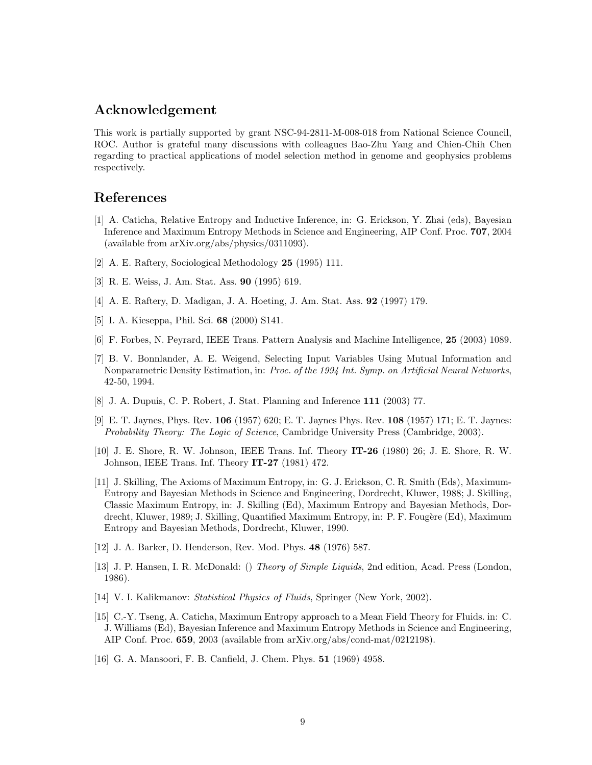# Acknowledgement

This work is partially supported by grant NSC-94-2811-M-008-018 from National Science Council, ROC. Author is grateful many discussions with colleagues Bao-Zhu Yang and Chien-Chih Chen regarding to practical applications of model selection method in genome and geophysics problems respectively.

# <span id="page-8-0"></span>References

- [1] A. Caticha, Relative Entropy and Inductive Inference, in: G. Erickson, Y. Zhai (eds), Bayesian Inference and Maximum Entropy Methods in Science and Engineering, AIP Conf. Proc. 707, 2004 (available from arXiv.org/abs/physics/0311093).
- <span id="page-8-2"></span><span id="page-8-1"></span>[2] A. E. Raftery, Sociological Methodology 25 (1995) 111.
- <span id="page-8-3"></span>[3] R. E. Weiss, J. Am. Stat. Ass. 90 (1995) 619.
- <span id="page-8-4"></span>[4] A. E. Raftery, D. Madigan, J. A. Hoeting, J. Am. Stat. Ass. 92 (1997) 179.
- <span id="page-8-5"></span>[5] I. A. Kieseppa, Phil. Sci. 68 (2000) S141.
- <span id="page-8-6"></span>[6] F. Forbes, N. Peyrard, IEEE Trans. Pattern Analysis and Machine Intelligence, 25 (2003) 1089.
- [7] B. V. Bonnlander, A. E. Weigend, Selecting Input Variables Using Mutual Information and Nonparametric Density Estimation, in: Proc. of the 1994 Int. Symp. on Artificial Neural Networks, 42-50, 1994.
- <span id="page-8-8"></span><span id="page-8-7"></span>[8] J. A. Dupuis, C. P. Robert, J. Stat. Planning and Inference 111 (2003) 77.
- [9] E. T. Jaynes, Phys. Rev. 106 (1957) 620; E. T. Jaynes Phys. Rev. 108 (1957) 171; E. T. Jaynes: Probability Theory: The Logic of Science, Cambridge University Press (Cambridge, 2003).
- <span id="page-8-9"></span>[10] J. E. Shore, R. W. Johnson, IEEE Trans. Inf. Theory IT-26 (1980) 26; J. E. Shore, R. W. Johnson, IEEE Trans. Inf. Theory IT-27 (1981) 472.
- <span id="page-8-10"></span>[11] J. Skilling, The Axioms of Maximum Entropy, in: G. J. Erickson, C. R. Smith (Eds), Maximum-Entropy and Bayesian Methods in Science and Engineering, Dordrecht, Kluwer, 1988; J. Skilling, Classic Maximum Entropy, in: J. Skilling (Ed), Maximum Entropy and Bayesian Methods, Dordrecht, Kluwer, 1989; J. Skilling, Quantified Maximum Entropy, in: P. F. Fougère (Ed), Maximum Entropy and Bayesian Methods, Dordrecht, Kluwer, 1990.
- <span id="page-8-12"></span><span id="page-8-11"></span>[12] J. A. Barker, D. Henderson, Rev. Mod. Phys. 48 (1976) 587.
- [13] J. P. Hansen, I. R. McDonald: () Theory of Simple Liquids, 2nd edition, Acad. Press (London, 1986).
- <span id="page-8-14"></span><span id="page-8-13"></span>[14] V. I. Kalikmanov: Statistical Physics of Fluids, Springer (New York, 2002).
- [15] C.-Y. Tseng, A. Caticha, Maximum Entropy approach to a Mean Field Theory for Fluids. in: C. J. Williams (Ed), Bayesian Inference and Maximum Entropy Methods in Science and Engineering, AIP Conf. Proc. 659, 2003 (available from arXiv.org/abs/cond-mat/0212198).
- <span id="page-8-15"></span>[16] G. A. Mansoori, F. B. Canfield, J. Chem. Phys. 51 (1969) 4958.